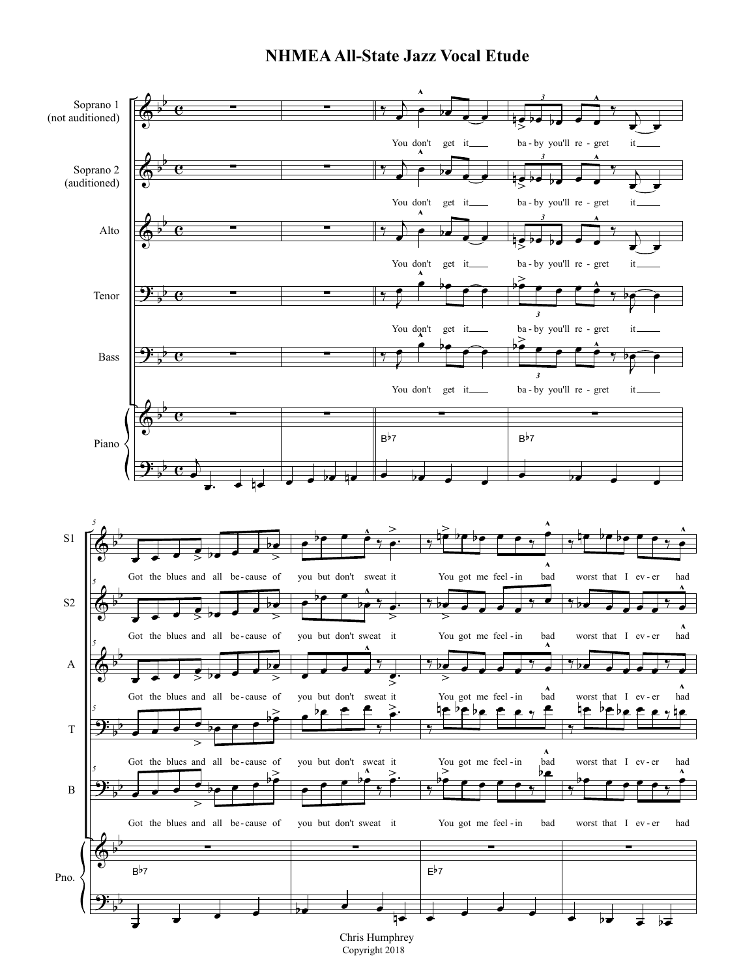## **NHMEA All-State Jazz Vocal Etude**